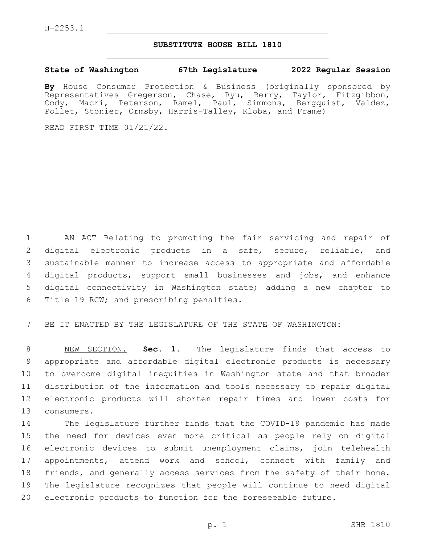## **SUBSTITUTE HOUSE BILL 1810**

## **State of Washington 67th Legislature 2022 Regular Session**

**By** House Consumer Protection & Business (originally sponsored by Representatives Gregerson, Chase, Ryu, Berry, Taylor, Fitzgibbon, Cody, Macri, Peterson, Ramel, Paul, Simmons, Bergquist, Valdez, Pollet, Stonier, Ormsby, Harris-Talley, Kloba, and Frame)

READ FIRST TIME 01/21/22.

 AN ACT Relating to promoting the fair servicing and repair of digital electronic products in a safe, secure, reliable, and sustainable manner to increase access to appropriate and affordable digital products, support small businesses and jobs, and enhance digital connectivity in Washington state; adding a new chapter to 6 Title 19 RCW; and prescribing penalties.

BE IT ENACTED BY THE LEGISLATURE OF THE STATE OF WASHINGTON:

 NEW SECTION. **Sec. 1.** The legislature finds that access to appropriate and affordable digital electronic products is necessary to overcome digital inequities in Washington state and that broader distribution of the information and tools necessary to repair digital electronic products will shorten repair times and lower costs for consumers.

 The legislature further finds that the COVID-19 pandemic has made the need for devices even more critical as people rely on digital electronic devices to submit unemployment claims, join telehealth appointments, attend work and school, connect with family and friends, and generally access services from the safety of their home. The legislature recognizes that people will continue to need digital electronic products to function for the foreseeable future.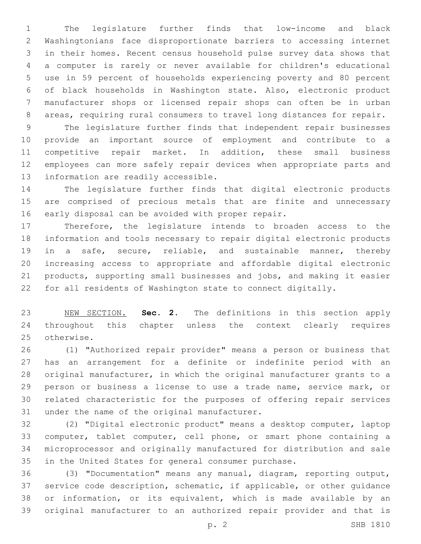The legislature further finds that low-income and black Washingtonians face disproportionate barriers to accessing internet in their homes. Recent census household pulse survey data shows that a computer is rarely or never available for children's educational use in 59 percent of households experiencing poverty and 80 percent of black households in Washington state. Also, electronic product manufacturer shops or licensed repair shops can often be in urban areas, requiring rural consumers to travel long distances for repair.

 The legislature further finds that independent repair businesses provide an important source of employment and contribute to a competitive repair market. In addition, these small business employees can more safely repair devices when appropriate parts and 13 information are readily accessible.

 The legislature further finds that digital electronic products are comprised of precious metals that are finite and unnecessary 16 early disposal can be avoided with proper repair.

 Therefore, the legislature intends to broaden access to the information and tools necessary to repair digital electronic products in a safe, secure, reliable, and sustainable manner, thereby increasing access to appropriate and affordable digital electronic products, supporting small businesses and jobs, and making it easier for all residents of Washington state to connect digitally.

 NEW SECTION. **Sec. 2.** The definitions in this section apply throughout this chapter unless the context clearly requires otherwise.

 (1) "Authorized repair provider" means a person or business that has an arrangement for a definite or indefinite period with an original manufacturer, in which the original manufacturer grants to a person or business a license to use a trade name, service mark, or related characteristic for the purposes of offering repair services 31 under the name of the original manufacturer.

 (2) "Digital electronic product" means a desktop computer, laptop computer, tablet computer, cell phone, or smart phone containing a microprocessor and originally manufactured for distribution and sale in the United States for general consumer purchase.

 (3) "Documentation" means any manual, diagram, reporting output, service code description, schematic, if applicable, or other guidance or information, or its equivalent, which is made available by an original manufacturer to an authorized repair provider and that is

p. 2 SHB 1810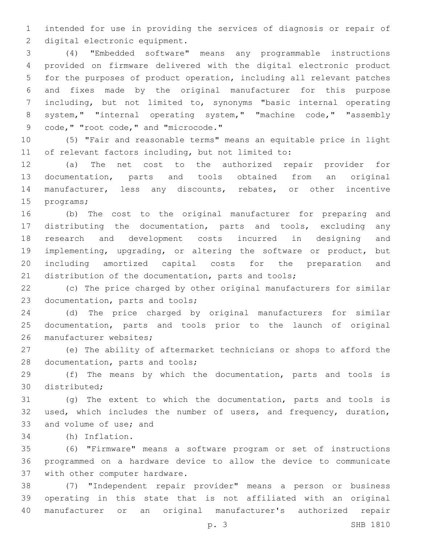intended for use in providing the services of diagnosis or repair of 2 digital electronic equipment.

 (4) "Embedded software" means any programmable instructions provided on firmware delivered with the digital electronic product for the purposes of product operation, including all relevant patches and fixes made by the original manufacturer for this purpose including, but not limited to, synonyms "basic internal operating system," "internal operating system," "machine code," "assembly 9 code, " "root code, " and "microcode."

 (5) "Fair and reasonable terms" means an equitable price in light of relevant factors including, but not limited to:

 (a) The net cost to the authorized repair provider for documentation, parts and tools obtained from an original manufacturer, less any discounts, rebates, or other incentive 15 programs;

 (b) The cost to the original manufacturer for preparing and distributing the documentation, parts and tools, excluding any research and development costs incurred in designing and implementing, upgrading, or altering the software or product, but including amortized capital costs for the preparation and distribution of the documentation, parts and tools;

 (c) The price charged by other original manufacturers for similar 23 documentation, parts and tools;

 (d) The price charged by original manufacturers for similar documentation, parts and tools prior to the launch of original 26 manufacturer websites;

 (e) The ability of aftermarket technicians or shops to afford the 28 documentation, parts and tools;

 (f) The means by which the documentation, parts and tools is 30 distributed:

 (g) The extent to which the documentation, parts and tools is used, which includes the number of users, and frequency, duration, 33 and volume of use; and

(h) Inflation.34

 (6) "Firmware" means a software program or set of instructions programmed on a hardware device to allow the device to communicate 37 with other computer hardware.

 (7) "Independent repair provider" means a person or business operating in this state that is not affiliated with an original manufacturer or an original manufacturer's authorized repair

p. 3 SHB 1810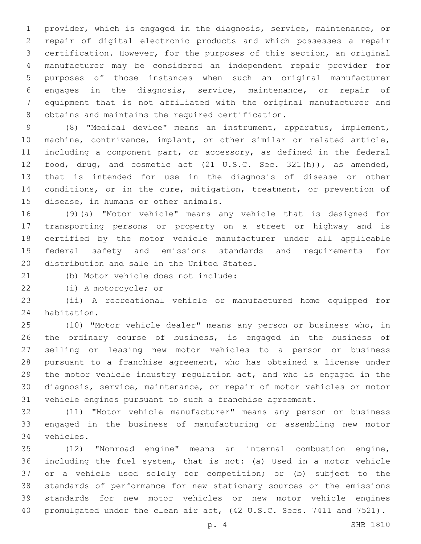provider, which is engaged in the diagnosis, service, maintenance, or repair of digital electronic products and which possesses a repair certification. However, for the purposes of this section, an original manufacturer may be considered an independent repair provider for purposes of those instances when such an original manufacturer engages in the diagnosis, service, maintenance, or repair of equipment that is not affiliated with the original manufacturer and 8 obtains and maintains the required certification.

 (8) "Medical device" means an instrument, apparatus, implement, machine, contrivance, implant, or other similar or related article, including a component part, or accessory, as defined in the federal food, drug, and cosmetic act (21 U.S.C. Sec. 321(h)), as amended, that is intended for use in the diagnosis of disease or other 14 conditions, or in the cure, mitigation, treatment, or prevention of 15 disease, in humans or other animals.

 (9)(a) "Motor vehicle" means any vehicle that is designed for transporting persons or property on a street or highway and is certified by the motor vehicle manufacturer under all applicable federal safety and emissions standards and requirements for 20 distribution and sale in the United States.

(b) Motor vehicle does not include:

22 (i) A motorcycle; or

 (ii) A recreational vehicle or manufactured home equipped for 24 habitation.

 (10) "Motor vehicle dealer" means any person or business who, in the ordinary course of business, is engaged in the business of selling or leasing new motor vehicles to a person or business pursuant to a franchise agreement, who has obtained a license under the motor vehicle industry regulation act, and who is engaged in the diagnosis, service, maintenance, or repair of motor vehicles or motor vehicle engines pursuant to such a franchise agreement.

 (11) "Motor vehicle manufacturer" means any person or business engaged in the business of manufacturing or assembling new motor vehicles.34

 (12) "Nonroad engine" means an internal combustion engine, including the fuel system, that is not: (a) Used in a motor vehicle or a vehicle used solely for competition; or (b) subject to the standards of performance for new stationary sources or the emissions standards for new motor vehicles or new motor vehicle engines promulgated under the clean air act, (42 U.S.C. Secs. 7411 and 7521).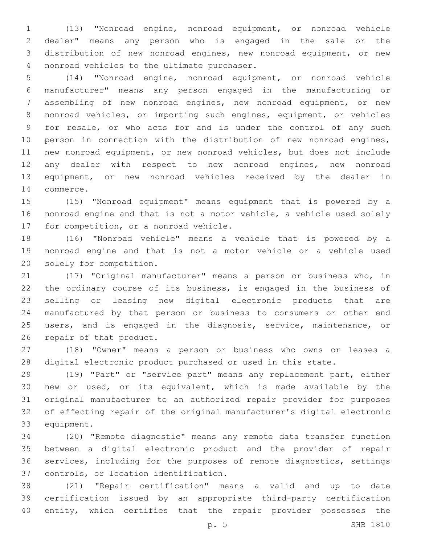(13) "Nonroad engine, nonroad equipment, or nonroad vehicle dealer" means any person who is engaged in the sale or the distribution of new nonroad engines, new nonroad equipment, or new 4 nonroad vehicles to the ultimate purchaser.

 (14) "Nonroad engine, nonroad equipment, or nonroad vehicle manufacturer" means any person engaged in the manufacturing or assembling of new nonroad engines, new nonroad equipment, or new nonroad vehicles, or importing such engines, equipment, or vehicles for resale, or who acts for and is under the control of any such person in connection with the distribution of new nonroad engines, new nonroad equipment, or new nonroad vehicles, but does not include any dealer with respect to new nonroad engines, new nonroad equipment, or new nonroad vehicles received by the dealer in 14 commerce.

 (15) "Nonroad equipment" means equipment that is powered by a nonroad engine and that is not a motor vehicle, a vehicle used solely 17 for competition, or a nonroad vehicle.

 (16) "Nonroad vehicle" means a vehicle that is powered by a nonroad engine and that is not a motor vehicle or a vehicle used 20 solely for competition.

 (17) "Original manufacturer" means a person or business who, in the ordinary course of its business, is engaged in the business of selling or leasing new digital electronic products that are manufactured by that person or business to consumers or other end users, and is engaged in the diagnosis, service, maintenance, or 26 repair of that product.

 (18) "Owner" means a person or business who owns or leases a digital electronic product purchased or used in this state.

 (19) "Part" or "service part" means any replacement part, either new or used, or its equivalent, which is made available by the original manufacturer to an authorized repair provider for purposes of effecting repair of the original manufacturer's digital electronic 33 equipment.

 (20) "Remote diagnostic" means any remote data transfer function between a digital electronic product and the provider of repair services, including for the purposes of remote diagnostics, settings 37 controls, or location identification.

 (21) "Repair certification" means a valid and up to date certification issued by an appropriate third-party certification entity, which certifies that the repair provider possesses the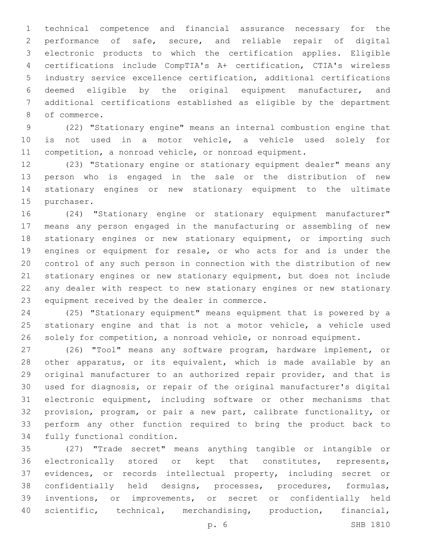technical competence and financial assurance necessary for the performance of safe, secure, and reliable repair of digital electronic products to which the certification applies. Eligible certifications include CompTIA's A+ certification, CTIA's wireless industry service excellence certification, additional certifications deemed eligible by the original equipment manufacturer, and additional certifications established as eligible by the department 8 of commerce.

 (22) "Stationary engine" means an internal combustion engine that is not used in a motor vehicle, a vehicle used solely for competition, a nonroad vehicle, or nonroad equipment.

 (23) "Stationary engine or stationary equipment dealer" means any person who is engaged in the sale or the distribution of new stationary engines or new stationary equipment to the ultimate 15 purchaser.

 (24) "Stationary engine or stationary equipment manufacturer" means any person engaged in the manufacturing or assembling of new stationary engines or new stationary equipment, or importing such engines or equipment for resale, or who acts for and is under the control of any such person in connection with the distribution of new stationary engines or new stationary equipment, but does not include any dealer with respect to new stationary engines or new stationary 23 equipment received by the dealer in commerce.

 (25) "Stationary equipment" means equipment that is powered by a 25 stationary engine and that is not a motor vehicle, a vehicle used solely for competition, a nonroad vehicle, or nonroad equipment.

 (26) "Tool" means any software program, hardware implement, or other apparatus, or its equivalent, which is made available by an original manufacturer to an authorized repair provider, and that is used for diagnosis, or repair of the original manufacturer's digital electronic equipment, including software or other mechanisms that provision, program, or pair a new part, calibrate functionality, or perform any other function required to bring the product back to 34 fully functional condition.

 (27) "Trade secret" means anything tangible or intangible or electronically stored or kept that constitutes, represents, evidences, or records intellectual property, including secret or confidentially held designs, processes, procedures, formulas, inventions, or improvements, or secret or confidentially held scientific, technical, merchandising, production, financial,

p. 6 SHB 1810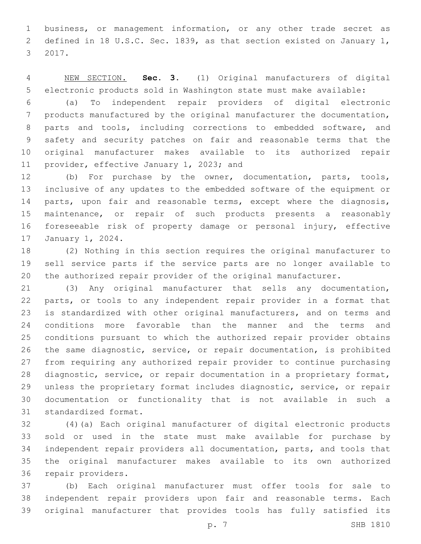business, or management information, or any other trade secret as defined in 18 U.S.C. Sec. 1839, as that section existed on January 1, 3 2017.

 NEW SECTION. **Sec. 3.** (1) Original manufacturers of digital electronic products sold in Washington state must make available:

 (a) To independent repair providers of digital electronic products manufactured by the original manufacturer the documentation, parts and tools, including corrections to embedded software, and safety and security patches on fair and reasonable terms that the original manufacturer makes available to its authorized repair 11 provider, effective January 1, 2023; and

 (b) For purchase by the owner, documentation, parts, tools, inclusive of any updates to the embedded software of the equipment or 14 parts, upon fair and reasonable terms, except where the diagnosis, maintenance, or repair of such products presents a reasonably foreseeable risk of property damage or personal injury, effective 17 January 1, 2024.

 (2) Nothing in this section requires the original manufacturer to sell service parts if the service parts are no longer available to the authorized repair provider of the original manufacturer.

 (3) Any original manufacturer that sells any documentation, parts, or tools to any independent repair provider in a format that is standardized with other original manufacturers, and on terms and conditions more favorable than the manner and the terms and conditions pursuant to which the authorized repair provider obtains the same diagnostic, service, or repair documentation, is prohibited from requiring any authorized repair provider to continue purchasing diagnostic, service, or repair documentation in a proprietary format, unless the proprietary format includes diagnostic, service, or repair documentation or functionality that is not available in such a 31 standardized format.

 (4)(a) Each original manufacturer of digital electronic products sold or used in the state must make available for purchase by independent repair providers all documentation, parts, and tools that the original manufacturer makes available to its own authorized 36 repair providers.

 (b) Each original manufacturer must offer tools for sale to independent repair providers upon fair and reasonable terms. Each original manufacturer that provides tools has fully satisfied its

p. 7 SHB 1810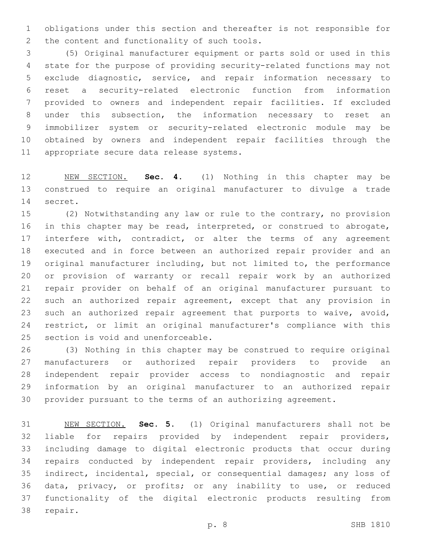obligations under this section and thereafter is not responsible for 2 the content and functionality of such tools.

 (5) Original manufacturer equipment or parts sold or used in this state for the purpose of providing security-related functions may not exclude diagnostic, service, and repair information necessary to reset a security-related electronic function from information provided to owners and independent repair facilities. If excluded under this subsection, the information necessary to reset an immobilizer system or security-related electronic module may be obtained by owners and independent repair facilities through the 11 appropriate secure data release systems.

 NEW SECTION. **Sec. 4.** (1) Nothing in this chapter may be construed to require an original manufacturer to divulge a trade secret.

 (2) Notwithstanding any law or rule to the contrary, no provision in this chapter may be read, interpreted, or construed to abrogate, 17 interfere with, contradict, or alter the terms of any agreement executed and in force between an authorized repair provider and an original manufacturer including, but not limited to, the performance or provision of warranty or recall repair work by an authorized repair provider on behalf of an original manufacturer pursuant to such an authorized repair agreement, except that any provision in such an authorized repair agreement that purports to waive, avoid, restrict, or limit an original manufacturer's compliance with this 25 section is void and unenforceable.

 (3) Nothing in this chapter may be construed to require original manufacturers or authorized repair providers to provide an independent repair provider access to nondiagnostic and repair information by an original manufacturer to an authorized repair provider pursuant to the terms of an authorizing agreement.

 NEW SECTION. **Sec. 5.** (1) Original manufacturers shall not be liable for repairs provided by independent repair providers, including damage to digital electronic products that occur during repairs conducted by independent repair providers, including any indirect, incidental, special, or consequential damages; any loss of data, privacy, or profits; or any inability to use, or reduced functionality of the digital electronic products resulting from repair.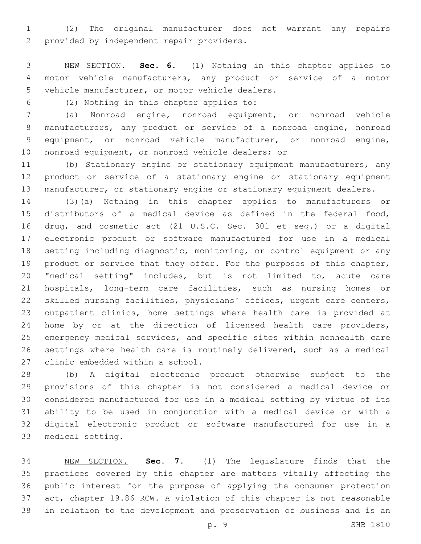(2) The original manufacturer does not warrant any repairs 2 provided by independent repair providers.

 NEW SECTION. **Sec. 6.** (1) Nothing in this chapter applies to motor vehicle manufacturers, any product or service of a motor vehicle manufacturer, or motor vehicle dealers.

(2) Nothing in this chapter applies to:6

 (a) Nonroad engine, nonroad equipment, or nonroad vehicle manufacturers, any product or service of a nonroad engine, nonroad equipment, or nonroad vehicle manufacturer, or nonroad engine, 10 nonroad equipment, or nonroad vehicle dealers; or

 (b) Stationary engine or stationary equipment manufacturers, any product or service of a stationary engine or stationary equipment 13 manufacturer, or stationary engine or stationary equipment dealers.

 (3)(a) Nothing in this chapter applies to manufacturers or distributors of a medical device as defined in the federal food, drug, and cosmetic act (21 U.S.C. Sec. 301 et seq.) or a digital electronic product or software manufactured for use in a medical setting including diagnostic, monitoring, or control equipment or any 19 product or service that they offer. For the purposes of this chapter, "medical setting" includes, but is not limited to, acute care hospitals, long-term care facilities, such as nursing homes or skilled nursing facilities, physicians' offices, urgent care centers, outpatient clinics, home settings where health care is provided at home by or at the direction of licensed health care providers, emergency medical services, and specific sites within nonhealth care settings where health care is routinely delivered, such as a medical 27 clinic embedded within a school.

 (b) A digital electronic product otherwise subject to the provisions of this chapter is not considered a medical device or considered manufactured for use in a medical setting by virtue of its ability to be used in conjunction with a medical device or with a digital electronic product or software manufactured for use in a 33 medical setting.

 NEW SECTION. **Sec. 7.** (1) The legislature finds that the practices covered by this chapter are matters vitally affecting the public interest for the purpose of applying the consumer protection act, chapter 19.86 RCW. A violation of this chapter is not reasonable in relation to the development and preservation of business and is an